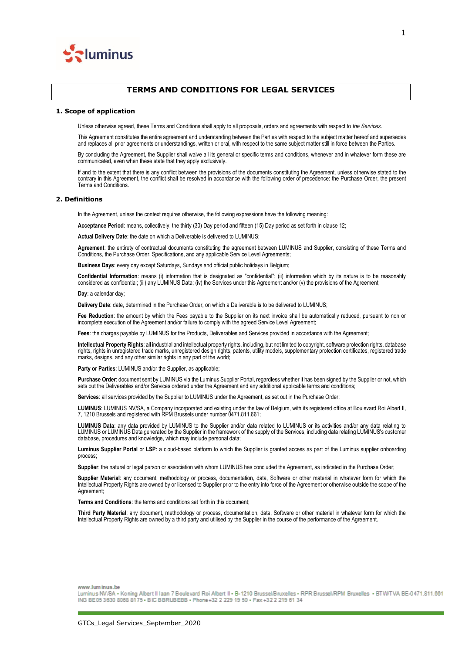

# **TERMS AND CONDITIONS FOR LEGAL SERVICES**

#### **1. Scope of application**

Unless otherwise agreed, these Terms and Conditions shall apply to all proposals, orders and agreements with respect to *the Services*.

This Agreement constitutes the entire agreement and understanding between the Parties with respect to the subject matter hereof and supersedes and replaces all prior agreements or understandings, written or oral, with respect to the same subject matter still in force between the Parties.

By concluding the Agreement, the Supplier shall waive all its general or specific terms and conditions, whenever and in whatever form these are communicated, even when these state that they apply exclusively.

If and to the extent that there is any conflict between the provisions of the documents constituting the Agreement, unless otherwise stated to the contrary in this Agreement, the conflict shall be resolved in accordance with the following order of precedence: the Purchase Order, the present Terms and Conditions.

# **2. Definitions**

In the Agreement, unless the context requires otherwise, the following expressions have the following meaning:

**Acceptance Period**: means, collectively, the thirty (30) Day period and fifteen (15) Day period as set forth in clause 12;

**Actual Delivery Date**: the date on which a Deliverable is delivered to LUMINUS;

**Agreement**: the entirety of contractual documents constituting the agreement between LUMINUS and Supplier, consisting of these Terms and Conditions, the Purchase Order, Specifications, and any applicable Service Level Agreements;

**Business Days**: every day except Saturdays, Sundays and official public holidays in Belgium;

**Confidential Information**: means (i) information that is designated as "confidential"; (ii) information which by its nature is to be reasonably considered as confidential; (iii) any LUMINUS Data; (iv) the Services under this Agreement and/or (v) the provisions of the Agreement;

**Day**: a calendar day;

**Delivery Date**: date, determined in the Purchase Order, on which a Deliverable is to be delivered to LUMINUS;

Fee Reduction: the amount by which the Fees payable to the Supplier on its next invoice shall be automatically reduced, pursuant to non or incomplete execution of the Agreement and/or failure to comply with the agreed Service Level Agreement;

Fees: the charges payable by LUMINUS for the Products, Deliverables and Services provided in accordance with the Agreement;

**Intellectual Property Rights**: all industrial and intellectual property rights, including, but not limited to copyright, software protection rights, database rights, rights in unregistered trade marks, unregistered design rights, patents, utility models, supplementary protection certificates, registered trade marks, designs, and any other similar rights in any part of the world;

**Party or Parties**: LUMINUS and/or the Supplier, as applicable;

**Purchase Order**: document sent by LUMINUS via the Luminus Supplier Portal, regardless whether it has been signed by the Supplier or not, which sets out the Deliverables and/or Services ordered under the Agreement and any additional applicable terms and conditions;

**Services**: all services provided by the Supplier to LUMINUS under the Agreement, as set out in the Purchase Order;

**LUMINUS**: LUMINUS NV/SA, a Company incorporated and existing under the law of Belgium, with its registered office at Boulevard Roi Albert II, 7, 1210 Brussels and registered with RPM Brussels under number 0471.811.661;

**LUMINUS Data**: any data provided by LUMINUS to the Supplier and/or data related to LUMINUS or its activities and/or any data relating to LUMINUS or LUMINUS Data generated by the Supplier in the framework of the supply of the Services, including data relating LUMINUS's customer database, procedures and knowledge, which may include personal data;

**Luminus Supplier Portal** or **LSP**: a cloud-based platform to which the Supplier is granted access as part of the Luminus supplier onboarding process;

**Supplier**: the natural or legal person or association with whom LUMINUS has concluded the Agreement, as indicated in the Purchase Order;

**Supplier Material**: any document, methodology or process, documentation, data, Software or other material in whatever form for which the Intellectual Property Rights are owned by or licensed to Supplier prior to the entry into force of the Agreement or otherwise outside the scope of the Agreement;

**Terms and Conditions**: the terms and conditions set forth in this document;

**Third Party Material**: any document, methodology or process, documentation, data, Software or other material in whatever form for which the Intellectual Property Rights are owned by a third party and utilised by the Supplier in the course of the performance of the Agreement.

www.luminus.be

Luminus NV/SA - Koning Albert II Iaan 7 Boulevard Roi Albert II - B-1210 Brussel/Bruxelles - RPR Brussel/RPM Bruxelles - BTW/TVA BE-0471.811.661 ING BE05 3630 8068 8175 - BIC BBRUBEBB - Phone +32 2 229 19 50 - Fax +32 2 219 61 34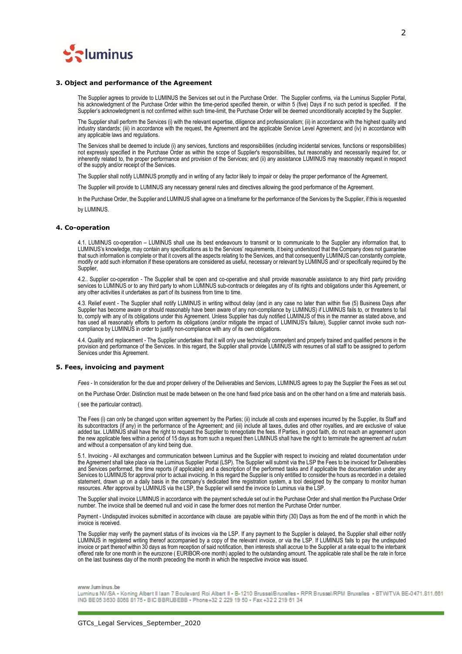

#### **3. Object and performance of the Agreement**

The Supplier agrees to provide to LUMINUS the Services set out in the Purchase Order. The Supplier confirms, via the Luminus Supplier Portal, his acknowledgment of the Purchase Order within the time-period specified therein, or within 5 (five) Days if no such period is specified. If the Supplier's acknowledgment is not confirmed within such time-limit, the Purchase Order will be deemed unconditionally accepted by the Supplier.

The Supplier shall perform the Services (i) with the relevant expertise, diligence and professionalism; (ii) in accordance with the highest quality and industry standards; (iii) in accordance with the request, the Agreement and the applicable Service Level Agreement; and (iv) in accordance with any applicable laws and regulations.

The Services shall be deemed to include (i) any services, functions and responsibilities (including incidental services, functions or responsibilities) not expressly specified in the Purchase Order as within the scope of Supplier's responsibilities, but reasonably and necessarily required for, or inherently related to, the proper performance and provision of the Services; and (ii) any assistance LUMINUS may reasonably request in respect of the supply and/or receipt of the Services.

The Supplier shall notify LUMINUS promptly and in writing of any factor likely to impair or delay the proper performance of the Agreement.

The Supplier will provide to LUMINUS any necessary general rules and directives allowing the good performance of the Agreement.

In the Purchase Order, the Supplier and LUMINUS shall agree on a timeframe for the performance of the Services by the Supplier, if this is requested

by LUMINUS.

### **4. Co-operation**

4.1. LUMINUS co-operation – LUMINUS shall use its best endeavours to transmit or to communicate to the Supplier any information that, to LUMINUS's knowledge, may contain any specifications as to the Services' requirements, it being understood that the Company does not guarantee that such information is complete or that it covers all the aspects relating to the Services, and that consequently LUMINUS can constantly complete, modify or add such information if these operations are considered as useful, necessary or relevant by LUMINUS and/ or specifically required by the Supplier,

4.2.. Supplier co-operation - The Supplier shall be open and co-operative and shall provide reasonable assistance to any third party providing services to LUMINUS or to any third party to whom LUMINUS sub-contracts or delegates any of its rights and obligations under this Agreement, or any other activities it undertakes as part of its business from time to time.

4.3. Relief event - The Supplier shall notify LUMINUS in writing without delay (and in any case no later than within five (5) Business Days after Supplier has become aware or should reasonably have been aware of any non-compliance by LUMINUS) if LUMINUS fails to, or threatens to fail to, comply with any of its obligations under this Agreement. Unless Supplier has duly notified LUMINUS of this in the manner as stated above, and has used all reasonably efforts to perform its obligations (and/or mitigate the impact of LUMINUS's failure), Supplier cannot invoke such noncompliance by LUMINUS in order to justify non-compliance with any of its own obligations.

4.4. Quality and replacement - The Supplier undertakes that it will only use technically competent and properly trained and qualified persons in the provision and performance of the Services. In this regard, the Supplier shall provide LUMINUS with resumes of all staff to be assigned to perform Services under this Agreement.

#### **5. Fees, invoicing and payment**

*Fees* - In consideration for the due and proper delivery of the Deliverables and Services, LUMINUS agrees to pay the Supplier the Fees as set out

on the Purchase Order. Distinction must be made between on the one hand fixed price basis and on the other hand on a time and materials basis.

( see the particular contract).

The Fees (i) can only be changed upon written agreement by the Parties; (ii) include all costs and expenses incurred by the Supplier, its Staff and its subcontractors (if any) in the performance of the Agreement; and (iii) include all taxes, duties and other royalties, and are exclusive of value added tax. LUMINUS shall have the right to request the Supplier to renegotiate the fees. If Parties, in good faith, do not reach an agreement upon the new applicable fees within a period of 15 days as from such a request then LUMINUS shall have the right to terminate the agreement *ad nutum* and without a compensation of any kind being due.

5.1. Invoicing - All exchanges and communication between Luminus and the Supplier with respect to invoicing and related documentation under the Agreement shall take place via the Luminus Supplier Portal (LSP). The Supplier will submit via the LSP the Fees to be invoiced for Deliverables and Services performed, the time reports (if applicable) and a description of the performed tasks and if applicable the documentation under any Services to LUMINUS for approval prior to actual invoicing. In this regard the Supplier is only entitled to consider the hours as recorded in a detailed statement, drawn up on a daily basis in the company's dedicated time registration system, a tool designed by the company to monitor human resources. After approval by LUMINUS via the LSP, the Supplier will send the invoice to Luminus via the LSP.

The Supplier shall invoice LUMINUS in accordance with the payment schedule set out in the Purchase Order and shall mention the Purchase Order number. The invoice shall be deemed null and void in case the former does not mention the Purchase Order number.

Payment - Undisputed invoices submitted in accordance with clause are payable within thirty (30) Days as from the end of the month in which the invoice is received.

The Supplier may verify the payment status of its invoices via the LSP. If any payment to the Supplier is delayed, the Supplier shall either notify LUMINUS in registered writing thereof accompanied by a copy of the relevant invoice, or via the LSP. If LUMINUS fails to pay the undisputed invoice or part thereof within 30 days as from reception of said notification, then interests shall accrue to the Supplier at a rate equal to the interbank offered rate for one month in the eurozone ( EURIBOR-one month) applied to the outstanding amount. The applicable rate shall be the rate in force on the last business day of the month preceding the month in which the respective invoice was issued.

#### www.luminus.be

Luminus NV/SA . Koning Albert II Iaan 7 Boulevard Roi Albert II - B-1210 Brussel/Bruxelles . RPR Brussel/RPM Bruxelles . BTW/TVA BE-0471.811.661 ING BE05 3630 8068 8175 - BIC BBRUBEBB - Phone +32 2 229 19 50 - Fax +32 2 219 61 34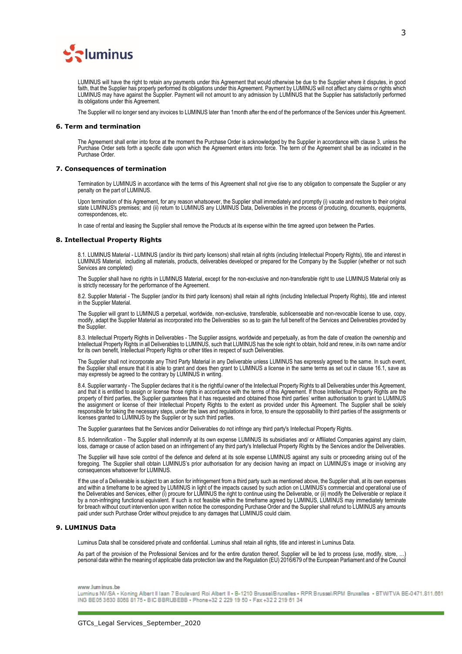

LUMINUS will have the right to retain any payments under this Agreement that would otherwise be due to the Supplier where it disputes, in good faith, that the Supplier has properly performed its obligations under this Agreement. Payment by LUMINUS will not affect any claims or rights which LUMINUS may have against the Supplier. Payment will not amount to any admission by LUMINUS that the Supplier has satisfactorily performed its obligations under this Agreement.

The Supplier will no longer send any invoices to LUMINUS later than 1month after the end of the performance of the Services under this Agreement.

## **6. Term and termination**

The Agreement shall enter into force at the moment the Purchase Order is acknowledged by the Supplier in accordance with clause 3, unless the Purchase Order sets forth a specific date upon which the Agreement enters into force. The term of the Agreement shall be as indicated in the Purchase Order.

#### **7. Consequences of termination**

Termination by LUMINUS in accordance with the terms of this Agreement shall not give rise to any obligation to compensate the Supplier or any penalty on the part of LUMINUS.

Upon termination of this Agreement, for any reason whatsoever, the Supplier shall immediately and promptly (i) vacate and restore to their original state LUMINUS's premises; and (ii) return to LUMINUS any LUMINUS Data, Deliverables in the process of producing, documents, equipments, correspondences, etc.

In case of rental and leasing the Supplier shall remove the Products at its expense within the time agreed upon between the Parties.

#### **8. Intellectual Property Rights**

8.1. LUMINUS Material - LUMINUS (and/or its third party licensors) shall retain all rights (including Intellectual Property Rights), title and interest in LUMINUS Material, including all materials, products, deliverables developed or prepared for the Company by the Supplier (whether or not such Services are completed)

The Supplier shall have no rights in LUMINUS Material, except for the non-exclusive and non-transferable right to use LUMINUS Material only as is strictly necessary for the performance of the Agreement.

8.2. Supplier Material - The Supplier (and/or its third party licensors) shall retain all rights (including Intellectual Property Rights), title and interest in the Supplier Material.

The Supplier will grant to LUMINUS a perpetual, worldwide, non-exclusive, transferable, sublicenseable and non-revocable license to use, copy, modify, adapt the Supplier Material as incorporated into the Deliverables so as to gain the full benefit of the Services and Deliverables provided by the Supplier.

8.3. Intellectual Property Rights in Deliverables - The Supplier assigns, worldwide and perpetually, as from the date of creation the ownership and Intellectual Property Rights in all Deliverables to LUMINUS, such that LUMINUS has the sole right to obtain, hold and renew, in its own name and/or for its own benefit, Intellectual Property Rights or other titles in respect of such Deliverables

The Supplier shall not incorporate any Third Party Material in any Deliverable unless LUMINUS has expressly agreed to the same. In such event, the Supplier shall ensure that it is able to grant and does then grant to LUMINUS a license in the same terms as set out in clause 16.1, save as may expressly be agreed to the contrary by LUMINUS in writing.

8.4. Supplier warranty - The Supplier declares that it is the rightful owner of the Intellectual Property Rights to all Deliverables under this Agreement, and that it is entitled to assign or license those rights in accordance with the terms of this Agreement. If those Intellectual Property Rights are the property of third parties, the Supplier guarantees that it has requested and obtained those third parties' written authorisation to grant to LUMINUS the assignment or license of their Intellectual Property Rights to the extent as provided under this Agreement. The Supplier shall be solely responsible for taking the necessary steps, under the laws and regulations in force, to ensure the opposability to third parties of the assignments or licenses granted to LUMINUS by the Supplier or by such third parties.

The Supplier guarantees that the Services and/or Deliverables do not infringe any third party's Intellectual Property Rights.

8.5. Indemnification - The Supplier shall indemnify at its own expense LUMINUS its subsidiaries and/ or Affiliated Companies against any claim, loss, damage or cause of action based on an infringement of any third party's Intellectual Property Rights by the Services and/or the Deliverables.

The Supplier will have sole control of the defence and defend at its sole expense LUMINUS against any suits or proceeding arising out of the foregoing. The Supplier shall obtain LUMINUS's prior authorisation for any decision having an impact on LUMINUS's image or involving any consequences whatsoever for LUMINUS.

If the use of a Deliverable is subject to an action for infringement from a third party such as mentioned above, the Supplier shall, at its own expenses and within a timeframe to be agreed by LUMINUS in light of the impacts caused by such action on LUMINUS's commercial and operational use of the Deliverables and Services, either (i) procure for LUMINUS the right to continue using the Deliverable, or (ii) modify the Deliverable or replace it by a non-infringing functional equivalent. If such is not feasible within the timeframe agreed by LUMINUS, LUMINUS may immediately terminate for breach without court intervention upon written notice the corresponding Purchase Order and the Supplier shall refund to LUMINUS any amounts paid under such Purchase Order without prejudice to any damages that LUMINUS could claim.

## **9. LUMINUS Data**

Luminus Data shall be considered private and confidential. Luminus shall retain all rights, title and interest in Luminus Data.

As part of the provision of the Professional Services and for the entire duration thereof, Supplier will be led to process (use, modify, store, …) personal data within the meaning of applicable data protection law and the Regulation (EU) 2016/679 of the European Parliament and of the Council

#### www.luminus.be

Luminus NV/SA . Koning Albert II Iaan 7 Boulevard Roi Albert II - B-1210 Brussel/Bruxelles . RPR Brussel/RPM Bruxelles . BTW/TVA BE-0471.811.661 ING BE05 3630 8088 8175 . BIC BBRUBEBB . Phone +32 2 229 19 50 . Fax +32 2 219 61 34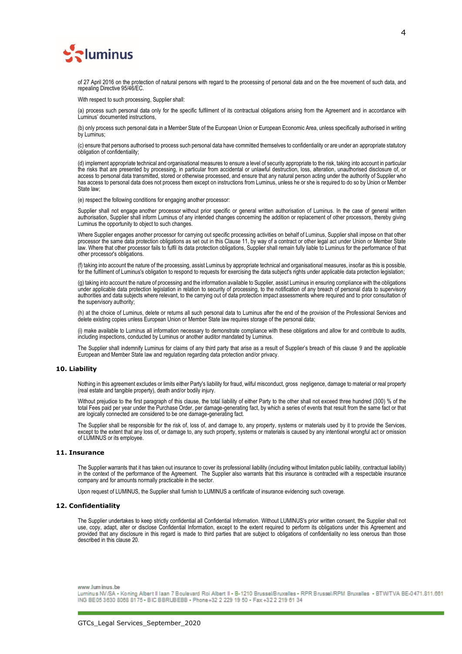

of 27 April 2016 on the protection of natural persons with regard to the processing of personal data and on the free movement of such data, and repealing Directive 95/46/EC.

With respect to such processing, Supplier shall:

(a) process such personal data only for the specific fulfilment of its contractual obligations arising from the Agreement and in accordance with Luminus' documented instructions,

(b) only process such personal data in a Member State of the European Union or European Economic Area, unless specifically authorised in writing by Luminus;

(c) ensure that persons authorised to process such personal data have committed themselves to confidentiality or are under an appropriate statutory obligation of confidentiality;

(d) implement appropriate technical and organisational measures to ensure a level of security appropriate to the risk, taking into account in particular the risks that are presented by processing, in particular from accidental or unlawful destruction, loss, alteration, unauthorised disclosure of, or access to personal data transmitted, stored or otherwise processed, and ensure that any natural person acting under the authority of Supplier who has access to personal data does not process them except on instructions from Luminus, unless he or she is required to do so by Union or Member State law;

(e) respect the following conditions for engaging another processor:

Supplier shall not engage another processor without prior specific or general written authorisation of Luminus. In the case of general written authorisation, Supplier shall inform Luminus of any intended changes concerning the addition or replacement of other processors, thereby giving Luminus the opportunity to object to such changes.

Where Supplier engages another processor for carrying out specific processing activities on behalf of Luminus, Supplier shall impose on that other processor the same data protection obligations as set out in this Clause 11, by way of a contract or other legal act under Union or Member State law. Where that other processor fails to fulfil its data protection obligations, Supplier shall remain fully liable to Luminus for the performance of that other processor's obligations.

(f) taking into account the nature of the processing, assist Luminus by appropriate technical and organisational measures, insofar as this is possible, for the fulfilment of Luminus's obligation to respond to requests for exercising the data subject's rights under applicable data protection legislation;

(g) taking into account the nature of processing and the information available to Supplier, assist Luminus in ensuring compliance with the obligations under applicable data protection legislation in relation to security of processing, to the notification of any breach of personal data to supervisory authorities and data subjects where relevant, to the carrying out of data protection impact assessments where required and to prior consultation of the supervisory authority;

(h) at the choice of Luminus, delete or returns all such personal data to Luminus after the end of the provision of the Professional Services and delete existing copies unless European Union or Member State law requires storage of the personal data;

(i) make available to Luminus all information necessary to demonstrate compliance with these obligations and allow for and contribute to audits, including inspections, conducted by Luminus or another auditor mandated by Luminus.

The Supplier shall indemnify Luminus for claims of any third party that arise as a result of Supplier's breach of this clause 9 and the applicable European and Member State law and regulation regarding data protection and/or privacy.

# **10. Liability**

Nothing in this agreement excludes or limits either Party's liability for fraud, wilful misconduct, gross negligence, damage to material or real property (real estate and tangible property), death and/or bodily injury.

Without prejudice to the first paragraph of this clause, the total liability of either Party to the other shall not exceed three hundred (300) % of the total Fees paid per year under the Purchase Order, per damage-generating fact, by which a series of events that result from the same fact or that are logically connected are considered to be one damage-generating fact.

The Supplier shall be responsible for the risk of, loss of, and damage to, any property, systems or materials used by it to provide the Services, except to the extent that any loss of, or damage to, any such property, systems or materials is caused by any intentional wrongful act or omission of LUMINUS or its employee.

### **11. Insurance**

The Supplier warrants that it has taken out insurance to cover its professional liability (including without limitation public liability, contractual liability) in the context of the performance of the Agreement. The Supplier also warrants that this insurance is contracted with a respectable insurance company and for amounts normally practicable in the sector.

Upon request of LUMINUS, the Supplier shall furnish to LUMINUS a certificate of insurance evidencing such coverage.

# **12. Confidentiality**

The Supplier undertakes to keep strictly confidential all Confidential Information. Without LUMINUS's prior written consent, the Supplier shall not use, copy, adapt, alter or disclose Confidential Information, except to the extent required to perform its obligations under this Agreement and provided that any disclosure in this regard is made to third parties that are subject to obligations of confidentiality no less onerous than those described in this clause 20.

www.luminus.be

Luminus NV/SA . Koning Albert II Iaan 7 Boulevard Roi Albert II - B-1210 Brussel/Bruxelles . RPR Brussel/RPM Bruxelles . BTW/TVA BE-0471.811.661 ING BE05 3630 8068 8175 - BIC BBRUBEBB - Phone +32 2 229 19 50 - Fax +32 2 219 61 34